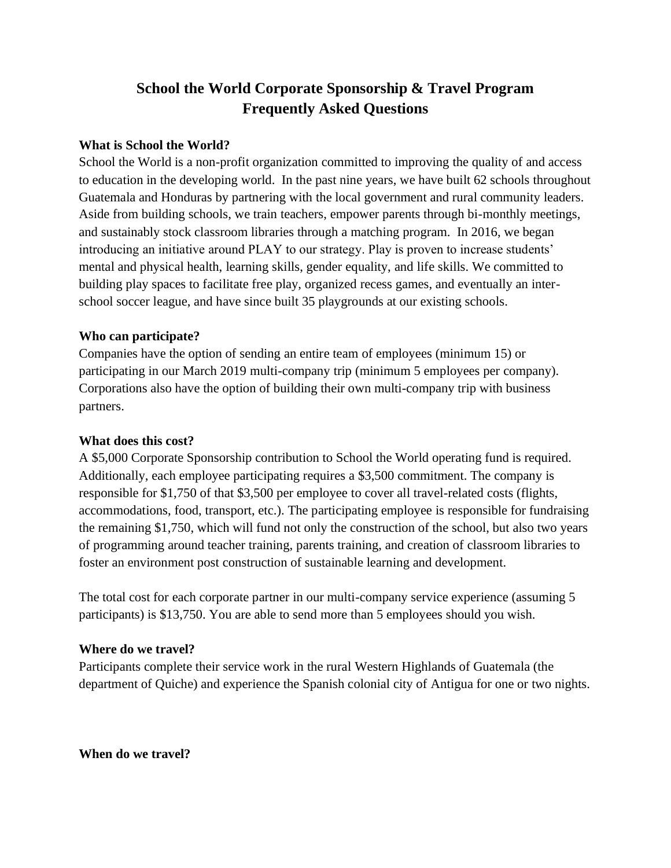# **School the World Corporate Sponsorship & Travel Program Frequently Asked Questions**

#### **What is School the World?**

School the World is a non-profit organization committed to improving the quality of and access to education in the developing world. In the past nine years, we have built 62 schools throughout Guatemala and Honduras by partnering with the local government and rural community leaders. Aside from building schools, we train teachers, empower parents through bi-monthly meetings, and sustainably stock classroom libraries through a matching program. In 2016, we began introducing an initiative around PLAY to our strategy. Play is proven to increase students' mental and physical health, learning skills, gender equality, and life skills. We committed to building play spaces to facilitate free play, organized recess games, and eventually an interschool soccer league, and have since built 35 playgrounds at our existing schools.

#### **Who can participate?**

Companies have the option of sending an entire team of employees (minimum 15) or participating in our March 2019 multi-company trip (minimum 5 employees per company). Corporations also have the option of building their own multi-company trip with business partners.

#### **What does this cost?**

A \$5,000 Corporate Sponsorship contribution to School the World operating fund is required. Additionally, each employee participating requires a \$3,500 commitment. The company is responsible for \$1,750 of that \$3,500 per employee to cover all travel-related costs (flights, accommodations, food, transport, etc.). The participating employee is responsible for fundraising the remaining \$1,750, which will fund not only the construction of the school, but also two years of programming around teacher training, parents training, and creation of classroom libraries to foster an environment post construction of sustainable learning and development.

The total cost for each corporate partner in our multi-company service experience (assuming 5 participants) is \$13,750. You are able to send more than 5 employees should you wish.

#### **Where do we travel?**

Participants complete their service work in the rural Western Highlands of Guatemala (the department of Quiche) and experience the Spanish colonial city of Antigua for one or two nights.

**When do we travel?**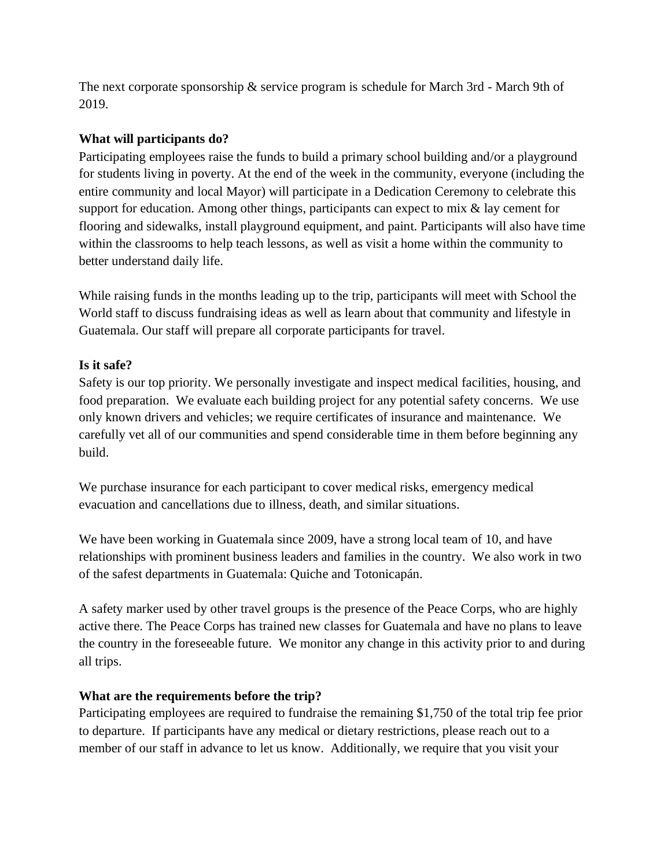The next corporate sponsorship & service program is schedule for March 3rd - March 9th of 2019.

## **What will participants do?**

Participating employees raise the funds to build a primary school building and/or a playground for students living in poverty. At the end of the week in the community, everyone (including the entire community and local Mayor) will participate in a Dedication Ceremony to celebrate this support for education. Among other things, participants can expect to mix & lay cement for flooring and sidewalks, install playground equipment, and paint. Participants will also have time within the classrooms to help teach lessons, as well as visit a home within the community to better understand daily life.

While raising funds in the months leading up to the trip, participants will meet with School the World staff to discuss fundraising ideas as well as learn about that community and lifestyle in Guatemala. Our staff will prepare all corporate participants for travel.

## **Is it safe?**

Safety is our top priority. We personally investigate and inspect medical facilities, housing, and food preparation. We evaluate each building project for any potential safety concerns. We use only known drivers and vehicles; we require certificates of insurance and maintenance. We carefully vet all of our communities and spend considerable time in them before beginning any build.

We purchase insurance for each participant to cover medical risks, emergency medical evacuation and cancellations due to illness, death, and similar situations.

We have been working in Guatemala since 2009, have a strong local team of 10, and have relationships with prominent business leaders and families in the country. We also work in two of the safest departments in Guatemala: Quiche and Totonicapán.

A safety marker used by other travel groups is the presence of the Peace Corps, who are highly active there. The Peace Corps has trained new classes for Guatemala and have no plans to leave the country in the foreseeable future. We monitor any change in this activity prior to and during all trips.

## **What are the requirements before the trip?**

Participating employees are required to fundraise the remaining \$1,750 of the total trip fee prior to departure. If participants have any medical or dietary restrictions, please reach out to a member of our staff in advance to let us know. Additionally, we require that you visit your